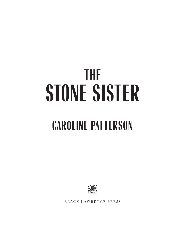## **THE STONE SISTER CAROLINE PATTERSON**



BLACK LAWRENCE PRESS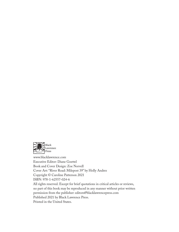

www.blacklawrence.com Executive Editor: Diane Goettel Book and Cover Design: Zoe Norvell Cover Art: "River Road: Milepost 39" by Holly Andres Copyright © Caroline Patterson 2021 ISBN: 978-1-62557-024-6 All rights reserved. Except for brief quotations in critical articles or reviews, no part of this book may be reproduced in any manner without prior written permission from the publisher: editors@blacklawrencepress.com Published 2021 by Black Lawrence Press. Printed in the United States.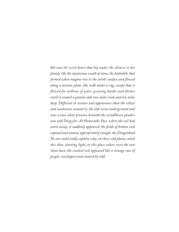*She was the secret heart that lay under the silences in her family, like the mysterious swath of stone, the batholith, that formed when magma rose to the earth's surface and flowed along a tectonic plate, like milk under a rug, except that it flowed for millions of years, growing harder and thicker until it created a granite slab two miles wide and ten miles deep. Different in texture and appearance than the schists and sandstones around it, the slab went underground and was a vast silent presence beneath the windblown ponderosas and Doug firs. At Homestake Pass, where the soil had worn away, it suddenly appeared: the fields of broken rock exposed and named, appropriately enough, the Dragonback. No one could really explain why, on these cold plains, amid this thin, slanting light, in this place where even the sunshine hurt, the cracked rock appeared like a strange race of people, misshapen and stunted by cold.*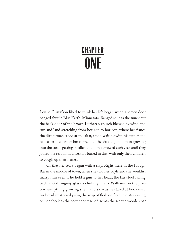## **CHAPTER ONE**

Louise Gustafson liked to think her life began when a screen door banged shut in Blue Earth, Minnesota. Banged shut as she snuck out the back door of the brown Lutheran church blessed by wind and sun and land stretching from horizon to horizon, where her fiancé, the dirt farmer, stood at the altar, stood waiting with his father and his father's father for her to walk up the aisle to join him in growing into the earth, getting smaller and more furrowed each year until they joined the rest of his ancestors buried in dirt, with only their children to cough up their names.

Or that her story began with a slap. Right there in the Plough Bar in the middle of town, when she told her boyfriend she wouldn't marry him even if he held a gun to her head, the bar stool falling back, metal ringing, glasses clinking, Hank Williams on the jukebox, everything growing silent and slow as he stared at her, raised his broad weathered palm, the snap of flesh on flesh, the stain rising on her cheek as the bartender reached across the scarred wooden bar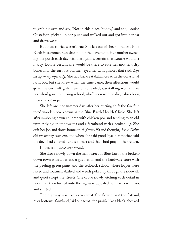to grab his arm and say, "Not in this place, buddy," and she, Louise Gustafson, picked up her purse and walked out and got into her car and drove west.

But these stories weren't true. She left out of sheer boredom. Blue Earth in summer. Sun drumming the pavement. Her mother sweeping the porch each day with her hymns, certain that Louise wouldn't marry. Louise certain she would be there to ease her mother's dry bones into the earth as old men eyed her with glances that said, *Lift me up in my infirmity.* She had backseat dalliances with the occasional farm boy, but she knew when the time came, their affections would go to the corn silk girls, never a redheaded, sass-talking woman like her who'd gone to nursing school, who'd seen women die, babies born, men cry out in pain.

She left one hot summer day, after her nursing shift the fan-fluttered wooden box known as the Blue Earth Health Clinic. She left after swabbing down children with chicken pox and tending to an old farmer dying of emphysema and a farmhand with a broken leg. She quit her job and drove home on Highway 90 and thought, *drive. Drive till the money runs out*, and when she said good-bye, her mother said the devil had entered Louise's heart and that she'd pray for her return.

Louise said, *save your breath.*

She drove slowly down the main street of Blue Earth, the brokendown town with a bar and a gas station and the hardware store with the peeling green paint and the redbrick school where hopes were raised and routinely dashed and weeds poked up through the sidewalk and quiet swept the streets. She drove slowly, etching each detail in her mind, then turned onto the highway, adjusted her rearview mirror, and shifted.

The highway was like a river west. She flowed past the flatland, river bottoms, farmland, laid out across the prairie like a black-checked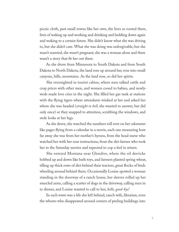picnic cloth, past small towns like her own, the lives so rooted there, lives of waking up and working and drinking and bedding down again and waking to a certain future. She didn't know what she was driving to, but she didn't care. What she was doing was unforgivable, but she wasn't married, she wasn't pregnant; she was a woman alone and there wasn't a story that fit her out there.

As she drove from Minnesota to South Dakota and from South Dakota to North Dakota, the land rose up around her, rose into small canyons, hills, mountains. As the land rose, so did her spirits.

She overnighted in tourist cabins, where men talked cattle and crop prices with other men, and women cooed to babies, and newlyweds made love cries in the night. She filled her gas tank at stations with the flying tigers where attendants winked at her and asked her where she was headed (*straight to hell*, she wanted to answer, but did only once) or they snapped to attention, scrubbing the windows, and stole looks at her legs.

As she drove, she watched the numbers roll over on her odometer like pages flying from a calendar in a movie, each one measuring how far away she was from her mother's hymns, from the head nurse who watched her with her sour instructions, from the dirt farmer who took her to the Saturday movies and expected to cop a feel in return.

She entered Montana near Glendive, where the oil derricks bobbed up and down like bath toys, and farmers planted spring wheat, tilling up thick rows of dirt behind their tractors, great flocks of birds wheeling around behind them. Occasionally Louise spotted a woman standing in the doorway of a ranch house, her sleeves rolled up her muscled arms, calling a scatter of dogs in the driveway, calling men in to dinner, and Louise wanted to call to her, *hello, good-bye!*

In each town was a life she left behind, ranch wife, librarian, even the whores who disappeared around corners of peeling buildings into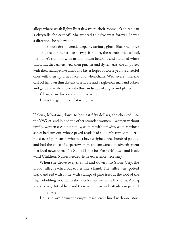alleys where weak lights lit stairways to their rooms. Each tableau a chrysalis she cast off. She wanted to drive west forever. It was a direction she believed in.

The mountains hovered, deep, mysterious, ghost-like. She drove to them, feeling the past strip away from her, the narrow brick school, the nurse's training with its aluminum bedpans and starched white uniforms, the farmers with their pinches and sly remarks, the amputees with their sausage-like limbs and bitter hopes or worse yet, the cheerful ones with their upturned faces and wheelchairs. With every mile, she cast off her own thin dreams of a house and a righteous man and babies and gardens as she drove into this landscape of angles and planes.

Clean, spare lines she could live with.

It was the geometry of starting over.

Helena, Montana, down to her last fifty dollars, she checked into the YWCA, and joined the other stranded women—women without family, women escaping family, women without wits, women whose songs had run out, whose paved roads had suddenly turned to dirt ruled over by a matron who must have weighed three hundred pounds and had the voice of a sparrow. Here she answered an advertisement in a local newspaper: The Stone Home for Feeble-Minded and Backward Children. Nurses needed, little experience necessary.

When she drove over the hill and down into Stone City, the broad valley reached out to her like a hand. The valley was spotted black and red with cattle, with clumps of pine trees at the foot of the shy, forbidding mountains she later learned were the Elkhorns. A long, silvery river, clotted here and there with moss and cattails, ran parallel to the highway.

Louise drove down the empty main street lined with one-story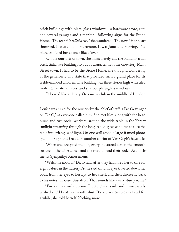brick buildings with plate-glass windows—a hardware store, café, and several garages and a market—following signs for the Stone Home. *Why was this called a city?* she wondered. *Why stone?* Her heart thumped. It was cold, high, remote. It was June and snowing. The place enfolded her at once like a lover.

On the outskirts of town, she immediately saw the building, a tall brick Italianate building, so out of character with the one-story Main Street town. It had to be the Stone Home, she thought, wondering at the generosity of a state that provided such a grand place for its feeble-minded children. The building was three stories high with tiled roofs, Italianate cornices, and six-foot plate-glass windows.

It looked like a library. Or a men's club in the middle of London.

Louise was hired for the nursery by the chief of staff, a Dr. Oetzinger, or "Dr. O," as everyone called him. She met him, along with the head nurse and two social workers, around the wide table in the library, sunlight streaming through the long leaded-glass windows to slice the table into triangles of light. On one wall stood a large framed photograph of Sigmund Freud, on another a print of Van Gogh's haystacks.

When she accepted the job, everyone stared across the smooth surface of the table at her, and she tried to read their looks: Astonishment? Sympathy? Amusement?

"Welcome aboard," Dr. O said, after they had hired her to care for eight babies in the nursery. As he said this, his eyes traveled down her body, from her eyes to her lips to her chest, and then discreetly back to his notes. "Louise Gustafson. That sounds like a very sturdy name."

"I'm a very sturdy person, Doctor," she said, and immediately wished she'd kept her mouth shut. It's a place to rest my head for a while, she told herself. Nothing more.